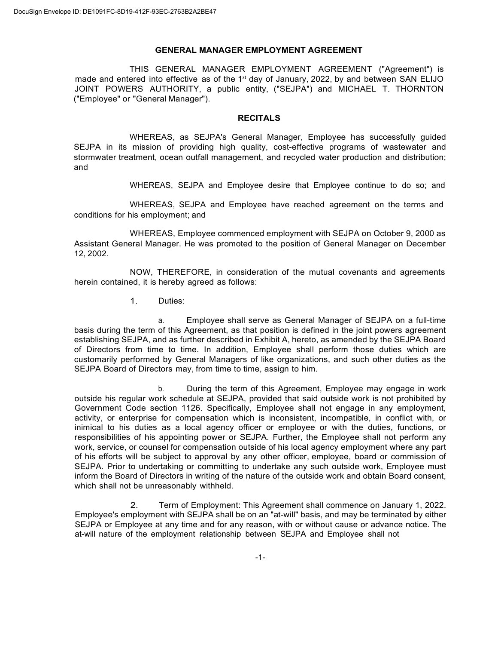#### **GENERAL MANAGER EMPLOYMENT AGREEMENT**

THIS GENERAL MANAGER EMPLOYMENT AGREEMENT ("Agreement") is made and entered into effective as of the  $1<sup>st</sup>$  day of January, 2022, by and between SAN ELIJO JOINT POWERS AUTHORITY, a public entity, ("SEJPA") and MICHAEL T. THORNTON ("Employee" or "General Manager").

#### **RECITALS**

WHEREAS, as SEJPA's General Manager, Employee has successfully guided SEJPA in its mission of providing high quality, cost-effective programs of wastewater and stormwater treatment, ocean outfall management, and recycled water production and distribution; and

WHEREAS, SEJPA and Employee desire that Employee continue to do so; and

WHEREAS, SEJPA and Employee have reached agreement on the terms and conditions for his employment; and

WHEREAS, Employee commenced employment with SEJPA on October 9, 2000 as Assistant General Manager. He was promoted to the position of General Manager on December 12, 2002.

NOW, THEREFORE, in consideration of the mutual covenants and agreements herein contained, it is hereby agreed as follows:

1. Duties:

a. Employee shall serve as General Manager of SEJPA on a full-time basis during the term of this Agreement, as that position is defined in the joint powers agreement establishing SEJPA, and as further described in Exhibit A, hereto, as amended by the SEJPA Board of Directors from time to time. In addition, Employee shall perform those duties which are customarily performed by General Managers of like organizations, and such other duties as the SEJPA Board of Directors may, from time to time, assign to him.

b. During the term of this Agreement, Employee may engage in work outside his regular work schedule at SEJPA, provided that said outside work is not prohibited by Government Code section 1126. Specifically, Employee shall not engage in any employment, activity, or enterprise for compensation which is inconsistent, incompatible, in conflict with, or inimical to his duties as a local agency officer or employee or with the duties, functions, or responsibilities of his appointing power or SEJPA. Further, the Employee shall not perform any work, service, or counsel for compensation outside of his local agency employment where any part of his efforts will be subject to approval by any other officer, employee, board or commission of SEJPA. Prior to undertaking or committing to undertake any such outside work, Employee must inform the Board of Directors in writing of the nature of the outside work and obtain Board consent, which shall not be unreasonably withheld.

2. Term of Employment: This Agreement shall commence on January 1, 2022. Employee's employment with SEJPA shall be on an "at-will" basis, and may be terminated by either SEJPA or Employee at any time and for any reason, with or without cause or advance notice. The at-will nature of the employment relationship between SEJPA and Employee shall not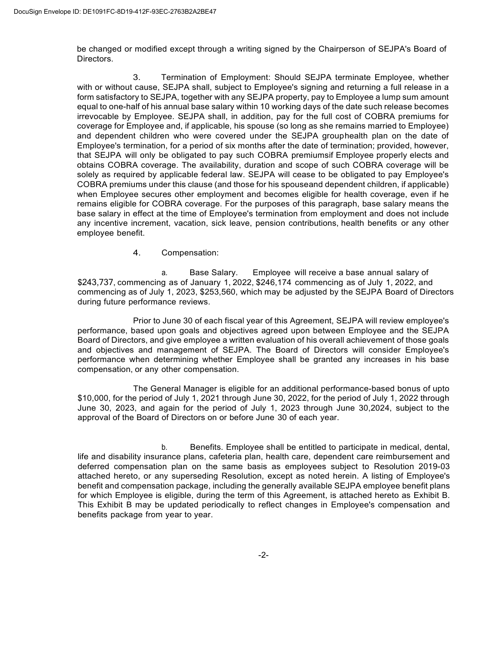be changed or modified except through a writing signed by the Chairperson of SEJPA's Board of Directors.

3. Termination of Employment: Should SEJPA terminate Employee, whether with or without cause, SEJPA shall, subject to Employee's signing and returning a full release in a form satisfactory to SEJPA, together with any SEJPA property, pay to Employee a lump sum amount equal to one-half of his annual base salary within 10 working days of the date such release becomes irrevocable by Employee. SEJPA shall, in addition, pay for the full cost of COBRA premiums for coverage for Employee and, if applicable, his spouse (so long as she remains married to Employee) and dependent children who were covered under the SEJPA grouphealth plan on the date of Employee's termination, for a period of six months after the date of termination; provided, however, that SEJPA will only be obligated to pay such COBRA premiumsif Employee properly elects and obtains COBRA coverage. The availability, duration and scope of such COBRA coverage will be solely as required by applicable federal law. SEJPA will cease to be obligated to pay Employee's COBRA premiums under this clause (and those for his spouseand dependent children, if applicable) when Employee secures other employment and becomes eligible for health coverage, even if he remains eligible for COBRA coverage. For the purposes of this paragraph, base salary means the base salary in effect at the time of Employee's termination from employment and does not include any incentive increment, vacation, sick leave, pension contributions, health benefits or any other employee benefit.

4. Compensation:

a. Base Salary. Employee will receive a base annual salary of \$243,737, commencing as of January 1, 2022, \$246,174 commencing as of July 1, 2022, and commencing as of July 1, 2023, \$253,560, which may be adjusted by the SEJPA Board of Directors during future performance reviews.

Prior to June 30 of each fiscal year of this Agreement, SEJPA will review employee's performance, based upon goals and objectives agreed upon between Employee and the SEJPA Board of Directors, and give employee a written evaluation of his overall achievement of those goals and objectives and management of SEJPA. The Board of Directors will consider Employee's performance when determining whether Employee shall be granted any increases in his base compensation, or any other compensation.

The General Manager is eligible for an additional performance-based bonus of upto \$10,000, for the period of July 1, 2021 through June 30, 2022, for the period of July 1, 2022 through June 30, 2023, and again for the period of July 1, 2023 through June 30,2024, subject to the approval of the Board of Directors on or before June 30 of each year.

b. Benefits. Employee shall be entitled to participate in medical, dental, life and disability insurance plans, cafeteria plan, health care, dependent care reimbursement and deferred compensation plan on the same basis as employees subject to Resolution 2019-03 attached hereto, or any superseding Resolution, except as noted herein. A listing of Employee's benefit and compensation package, including the generally available SEJPA employee benefit plans for which Employee is eligible, during the term of this Agreement, is attached hereto as Exhibit B. This Exhibit B may be updated periodically to reflect changes in Employee's compensation and benefits package from year to year.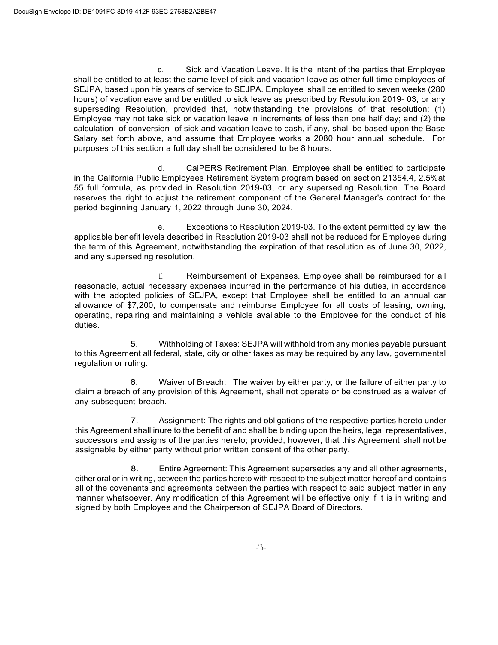c. Sick and Vacation Leave. It is the intent of the parties that Employee shall be entitled to at least the same level of sick and vacation leave as other full-time employees of SEJPA, based upon his years of service to SEJPA. Employee shall be entitled to seven weeks (280 hours) of vacationleave and be entitled to sick leave as prescribed by Resolution 2019- 03, or any superseding Resolution, provided that, notwithstanding the provisions of that resolution: (1) Employee may not take sick or vacation leave in increments of less than one half day; and (2) the calculation of conversion of sick and vacation leave to cash, if any, shall be based upon the Base Salary set forth above, and assume that Employee works a 2080 hour annual schedule. For purposes of this section a full day shall be considered to be 8 hours.

d. CalPERS Retirement Plan. Employee shall be entitled to participate in the California Public Employees Retirement System program based on section 21354.4, 2.5%at 55 full formula, as provided in Resolution 2019-03, or any superseding Resolution. The Board reserves the right to adjust the retirement component of the General Manager's contract for the period beginning January 1, 2022 through June 30, 2024.

e. Exceptions to Resolution 2019-03. To the extent permitted by law, the applicable benefit levels described in Resolution 2019-03 shall not be reduced for Employee during the term of this Agreement, notwithstanding the expiration of that resolution as of June 30, 2022, and any superseding resolution.

f. Reimbursement of Expenses. Employee shall be reimbursed for all reasonable, actual necessary expenses incurred in the performance of his duties, in accordance with the adopted policies of SEJPA, except that Employee shall be entitled to an annual car allowance of \$7,200, to compensate and reimburse Employee for all costs of leasing, owning, operating, repairing and maintaining a vehicle available to the Employee for the conduct of his duties.

5. Withholding of Taxes: SEJPA will withhold from any monies payable pursuant to this Agreement all federal, state, city or other taxes as may be required by any law, governmental regulation or ruling.

6. Waiver of Breach: The waiver by either party, or the failure of either party to claim a breach of any provision of this Agreement, shall not operate or be construed as a waiver of any subsequent breach.

7. Assignment: The rights and obligations of the respective parties hereto under this Agreement shall inure to the benefit of and shall be binding upon the heirs, legal representatives, successors and assigns of the parties hereto; provided, however, that this Agreement shall not be assignable by either party without prior written consent of the other party.

8. Entire Agreement: This Agreement supersedes any and all other agreements, either oral or in writing, between the parties hereto with respect to the subject matter hereof and contains all of the covenants and agreements between the parties with respect to said subject matter in any manner whatsoever. Any modification of this Agreement will be effective only if it is in writing and signed by both Employee and the Chairperson of SEJPA Board of Directors.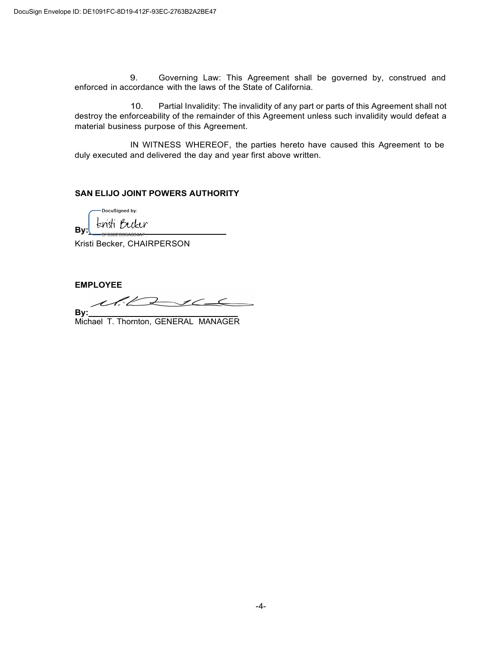9. Governing Law: This Agreement shall be governed by, construed and enforced in accordance with the laws of the State of California.

10. Partial Invalidity: The invalidity of any part or parts of this Agreement shall not destroy the enforceability of the remainder of this Agreement unless such invalidity would defeat a material business purpose of this Agreement.

IN WITNESS WHEREOF, the parties hereto have caused this Agreement to be duly executed and delivered the day and year first above written.

### **SAN ELIJO JOINT POWERS AUTHORITY**

DocuSigned by: knisti Becker **By:** 

Kristi Becker, CHAIRPERSON

**EMPLOYEE**

S.L.  $\mathcal{Z}$  $\overline{\phantom{a}}$ 

**By:**  Michael T. Thornton, GENERAL MANAGER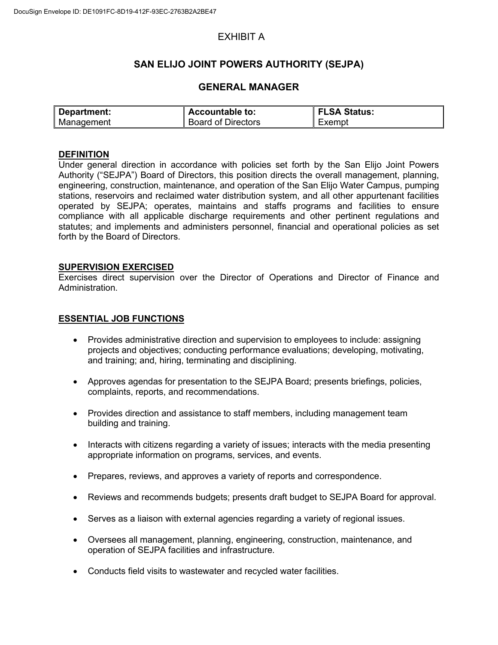# EXHIBIT A

## **SAN ELIJO JOINT POWERS AUTHORITY (SEJPA)**

## **GENERAL MANAGER**

| Department: | Accountable to:           | FLSA Status: |
|-------------|---------------------------|--------------|
| Management  | <b>Board of Directors</b> | Exempt       |

### **DEFINITION**

Under general direction in accordance with policies set forth by the San Elijo Joint Powers Authority ("SEJPA") Board of Directors, this position directs the overall management, planning, engineering, construction, maintenance, and operation of the San Elijo Water Campus, pumping stations, reservoirs and reclaimed water distribution system, and all other appurtenant facilities operated by SEJPA; operates, maintains and staffs programs and facilities to ensure compliance with all applicable discharge requirements and other pertinent regulations and statutes; and implements and administers personnel, financial and operational policies as set forth by the Board of Directors.

#### **SUPERVISION EXERCISED**

Exercises direct supervision over the Director of Operations and Director of Finance and Administration.

#### **ESSENTIAL JOB FUNCTIONS**

- Provides administrative direction and supervision to employees to include: assigning projects and objectives; conducting performance evaluations; developing, motivating, and training; and, hiring, terminating and disciplining.
- Approves agendas for presentation to the SEJPA Board; presents briefings, policies, complaints, reports, and recommendations.
- Provides direction and assistance to staff members, including management team building and training.
- Interacts with citizens regarding a variety of issues; interacts with the media presenting appropriate information on programs, services, and events.
- Prepares, reviews, and approves a variety of reports and correspondence.
- Reviews and recommends budgets; presents draft budget to SEJPA Board for approval.
- Serves as a liaison with external agencies regarding a variety of regional issues.
- Oversees all management, planning, engineering, construction, maintenance, and operation of SEJPA facilities and infrastructure.
- Conducts field visits to wastewater and recycled water facilities.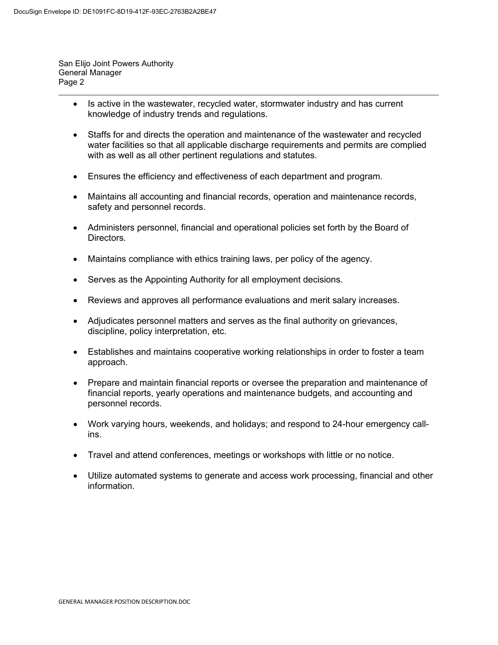San Elijo Joint Powers Authority General Manager Page 2

- Is active in the wastewater, recycled water, stormwater industry and has current knowledge of industry trends and regulations.
- Staffs for and directs the operation and maintenance of the wastewater and recycled water facilities so that all applicable discharge requirements and permits are complied with as well as all other pertinent regulations and statutes.
- Ensures the efficiency and effectiveness of each department and program.
- Maintains all accounting and financial records, operation and maintenance records, safety and personnel records.
- Administers personnel, financial and operational policies set forth by the Board of Directors.
- Maintains compliance with ethics training laws, per policy of the agency.
- Serves as the Appointing Authority for all employment decisions.
- Reviews and approves all performance evaluations and merit salary increases.
- Adjudicates personnel matters and serves as the final authority on grievances, discipline, policy interpretation, etc.
- Establishes and maintains cooperative working relationships in order to foster a team approach.
- Prepare and maintain financial reports or oversee the preparation and maintenance of financial reports, yearly operations and maintenance budgets, and accounting and personnel records.
- Work varying hours, weekends, and holidays; and respond to 24-hour emergency callins.
- Travel and attend conferences, meetings or workshops with little or no notice.
- Utilize automated systems to generate and access work processing, financial and other information.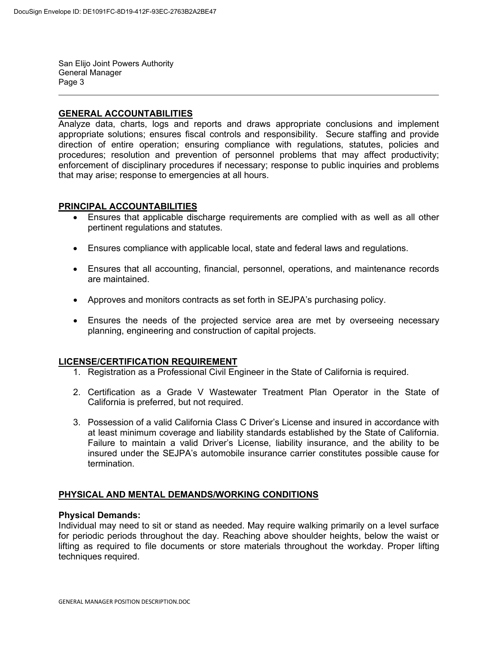San Elijo Joint Powers Authority General Manager<br>Page 3

#### **GENERAL ACCOUNTABILITIES**

Analyze data, charts, logs and reports and draws appropriate conclusions and implement appropriate solutions; ensures fiscal controls and responsibility. Secure staffing and provide direction of entire operation; ensuring compliance with regulations, statutes, policies and procedures; resolution and prevention of personnel problems that may affect productivity; enforcement of disciplinary procedures if necessary; response to public inquiries and problems that may arise; response to emergencies at all hours.

#### **PRINCIPAL ACCOUNTABILITIES**

- Ensures that applicable discharge requirements are complied with as well as all other pertinent regulations and statutes.
- Ensures compliance with applicable local, state and federal laws and regulations.
- Ensures that all accounting, financial, personnel, operations, and maintenance records are maintained.
- Approves and monitors contracts as set forth in SEJPA's purchasing policy.
- Ensures the needs of the projected service area are met by overseeing necessary planning, engineering and construction of capital projects.

#### **LICENSE/CERTIFICATION REQUIREMENT**

- 1. Registration as a Professional Civil Engineer in the State of California is required.
- 2. Certification as a Grade V Wastewater Treatment Plan Operator in the State of California is preferred, but not required.
- 3. Possession of a valid California Class C Driver's License and insured in accordance with at least minimum coverage and liability standards established by the State of California. Failure to maintain a valid Driver's License, liability insurance, and the ability to be insured under the SEJPA's automobile insurance carrier constitutes possible cause for termination.

## **PHYSICAL AND MENTAL DEMANDS/WORKING CONDITIONS**

#### **Physical Demands:**

Individual may need to sit or stand as needed. May require walking primarily on a level surface for periodic periods throughout the day. Reaching above shoulder heights, below the waist or lifting as required to file documents or store materials throughout the workday. Proper lifting techniques required.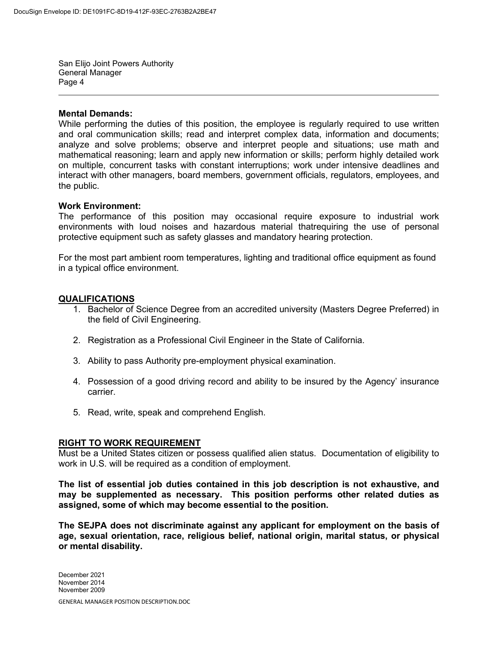San Elijo Joint Powers Authority General Manager<br>Page 4

#### **Mental Demands:**

While performing the duties of this position, the employee is regularly required to use written and oral communication skills; read and interpret complex data, information and documents; analyze and solve problems; observe and interpret people and situations; use math and mathematical reasoning; learn and apply new information or skills; perform highly detailed work on multiple, concurrent tasks with constant interruptions; work under intensive deadlines and interact with other managers, board members, government officials, regulators, employees, and the public.

#### **Work Environment:**

The performance of this position may occasional require exposure to industrial work environments with loud noises and hazardous material thatrequiring the use of personal protective equipment such as safety glasses and mandatory hearing protection.

For the most part ambient room temperatures, lighting and traditional office equipment as found in a typical office environment.

#### **QUALIFICATIONS**

- 1. Bachelor of Science Degree from an accredited university (Masters Degree Preferred) in the field of Civil Engineering.
- 2. Registration as a Professional Civil Engineer in the State of California.
- 3. Ability to pass Authority pre-employment physical examination.
- 4. Possession of a good driving record and ability to be insured by the Agency' insurance carrier.
- 5. Read, write, speak and comprehend English.

#### **RIGHT TO WORK REQUIREMENT**

Must be a United States citizen or possess qualified alien status. Documentation of eligibility to work in U.S. will be required as a condition of employment.

**The list of essential job duties contained in this job description is not exhaustive, and may be supplemented as necessary. This position performs other related duties as assigned, some of which may become essential to the position.**

**The SEJPA does not discriminate against any applicant for employment on the basis of age, sexual orientation, race, religious belief, national origin, marital status, or physical or mental disability.**